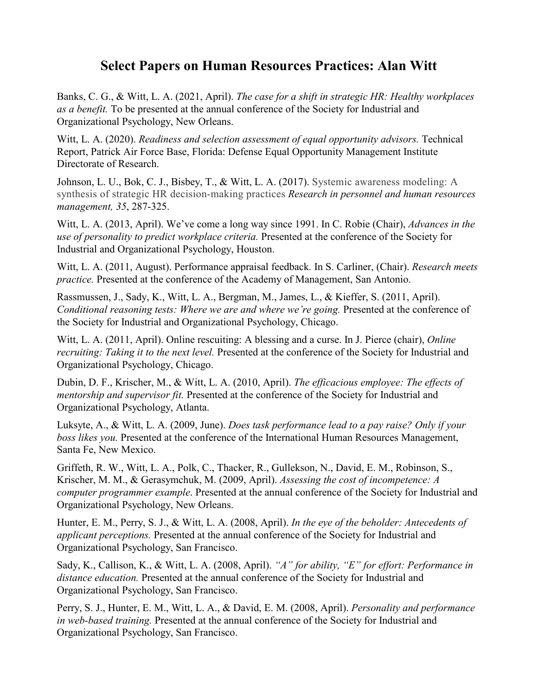## **Select Papers on Human Resources Practices: Alan Witt**

Banks, C. G., & Witt, L. A. (2021, April). *The case for a shift in strategic HR: Healthy workplaces as a benefit.* To be presented at the annual conference of the Society for Industrial and Organizational Psychology, New Orleans.

Witt, L. A. (2020). *Readiness and selection assessment of equal opportunity advisors*. Technical Report, Patrick Air Force Base, Florida: Defense Equal Opportunity Management Institute Directorate of Research.

Johnson, L. U., Bok, C. J., Bisbey, T., & Witt, L. A. (2017). Systemic awareness modeling: A synthesis of strategic HR decision-making practices *Research in personnel and human resources management, 35*, 287-325.

Witt, L. A. (2013, April). We've come a long way since 1991. In C. Robie (Chair), *Advances in the use of personality to predict workplace criteria.* Presented at the conference of the Society for Industrial and Organizational Psychology, Houston.

Witt, L. A. (2011, August). Performance appraisal feedback*.* In S. Carliner, (Chair). *Research meets practice.* Presented at the conference of the Academy of Management, San Antonio.

Rassmussen, J., Sady, K., Witt, L. A., Bergman, M., James, L., & Kieffer, S. (2011, April). *Conditional reasoning tests: Where we are and where we're going.* Presented at the conference of the Society for Industrial and Organizational Psychology, Chicago.

Witt, L. A. (2011, April). Online rescuiting: A blessing and a curse. In J. Pierce (chair), *Online recruiting: Taking it to the next level.* Presented at the conference of the Society for Industrial and Organizational Psychology, Chicago.

Dubin, D. F., Krischer, M., & Witt, L. A. (2010, April). *The efficacious employee: The effects of mentorship and supervisor fit.* Presented at the conference of the Society for Industrial and Organizational Psychology, Atlanta.

Luksyte, A., & Witt, L. A. (2009, June). *Does task performance lead to a pay raise? Only if your boss likes you.* Presented at the conference of the International Human Resources Management, Santa Fe, New Mexico.

Griffeth, R. W., Witt, L. A., Polk, C., Thacker, R., Gullekson, N., David, E. M., Robinson, S., Krischer, M. M., & Gerasymchuk, M. (2009, April). *Assessing the cost of incompetence: A computer programmer example*. Presented at the annual conference of the Society for Industrial and Organizational Psychology, New Orleans.

Hunter, E. M., Perry, S. J., & Witt, L. A. (2008, April). *In the eye of the beholder: Antecedents of applicant perceptions.* Presented at the annual conference of the Society for Industrial and Organizational Psychology, San Francisco.

Sady, K., Callison, K., & Witt, L. A. (2008, April). *"A" for ability, "E" for effort: Performance in distance education.* Presented at the annual conference of the Society for Industrial and Organizational Psychology, San Francisco.

Perry, S. J., Hunter, E. M., Witt, L. A., & David, E. M. (2008, April). *Personality and performance in web-based training.* Presented at the annual conference of the Society for Industrial and Organizational Psychology, San Francisco.